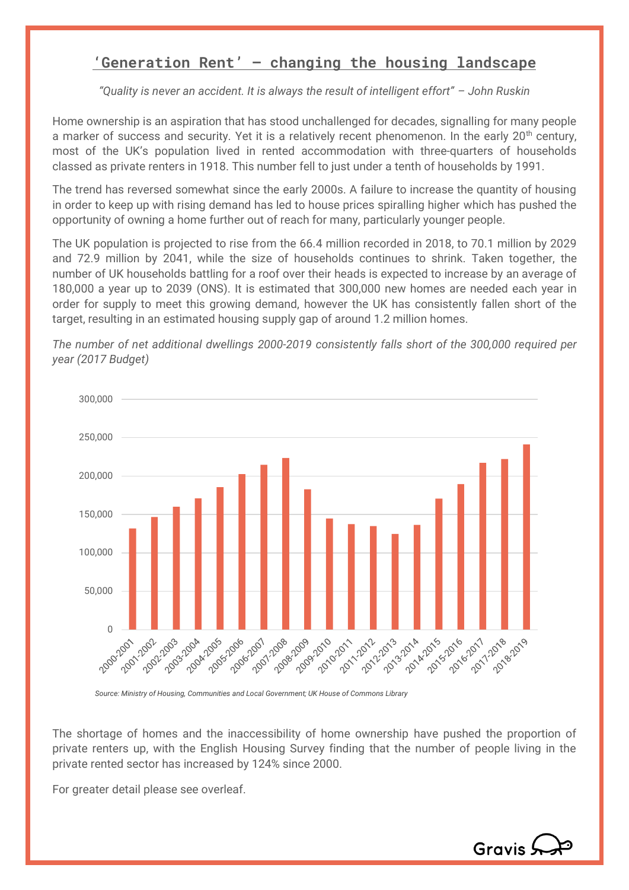## **'Generation Rent' – changing the housing landscape**

*"Quality is never an accident. It is always the result of intelligent effort" – John Ruskin*

Home ownership is an aspiration that has stood unchallenged for decades, signalling for many people a marker of success and security. Yet it is a relatively recent phenomenon. In the early 20<sup>th</sup> century, most of the UK's population lived in rented accommodation with three-quarters of households classed as private renters in 1918. This number fell to just under a tenth of households by 1991.

The trend has reversed somewhat since the early 2000s. A failure to increase the quantity of housing in order to keep up with rising demand has led to house prices spiralling higher which has pushed the opportunity of owning a home further out of reach for many, particularly younger people.

The UK population is projected to rise from the 66.4 million recorded in 2018, to 70.1 million by 2029 and 72.9 million by 2041, while the size of households continues to shrink. Taken together, the number of UK households battling for a roof over their heads is expected to increase by an average of 180,000 a year up to 2039 (ONS). It is estimated that 300,000 new homes are needed each year in order for supply to meet this growing demand, however the UK has consistently fallen short of the target, resulting in an estimated housing supply gap of around 1.2 million homes.



*The number of net additional dwellings 2000-2019 consistently falls short of the 300,000 required per year (2017 Budget)*

*Source: Ministry of Housing, Communities and Local Government; UK House of Commons Library*

The shortage of homes and the inaccessibility of home ownership have pushed the proportion of private renters up, with the English Housing Survey finding that the number of people living in the private rented sector has increased by 124% since 2000.

For greater detail please see overleaf.

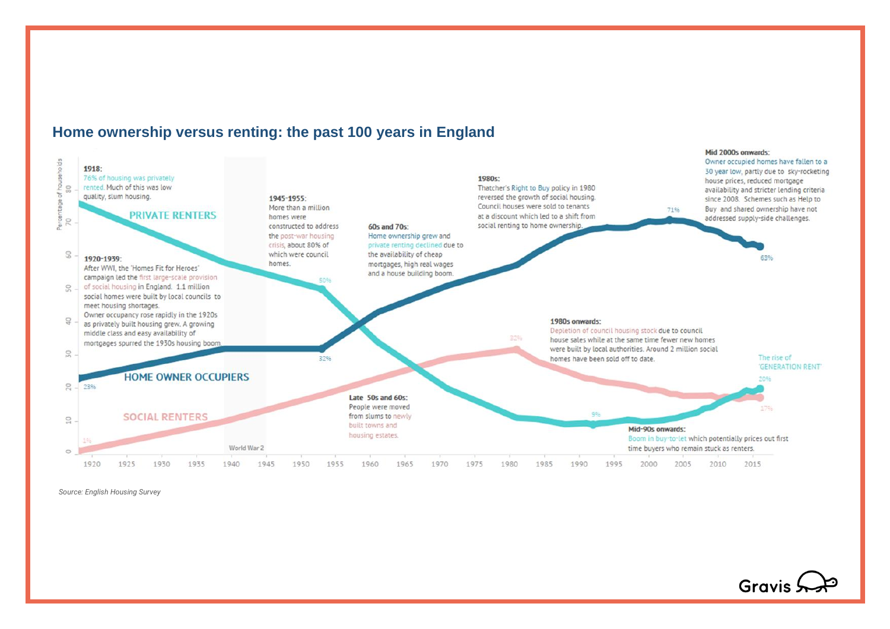

### **Home ownership versus renting: the past 100 years in England**

*Source: English Housing Survey*

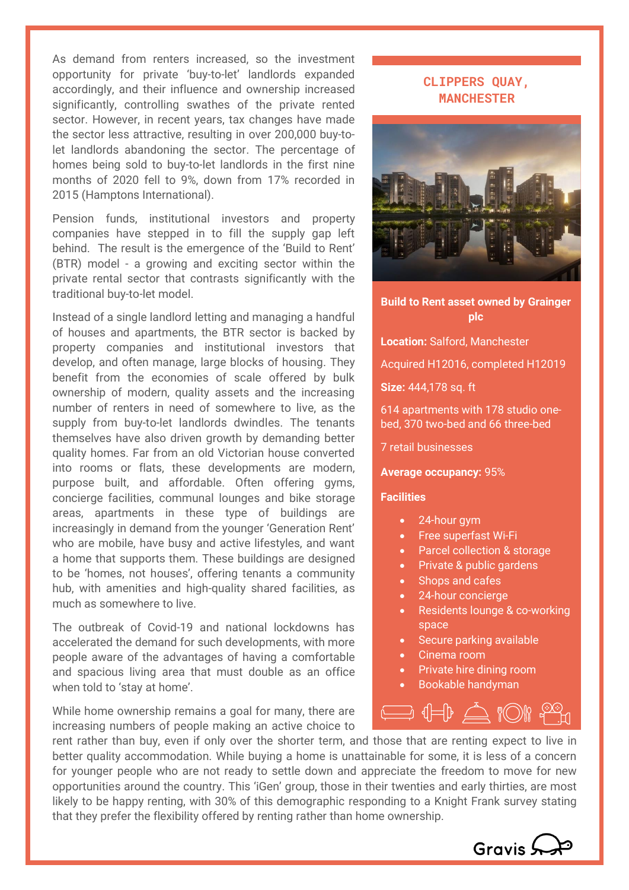As demand from renters increased, so the investment opportunity for private 'buy-to-let' landlords expanded accordingly, and their influence and ownership increased significantly, controlling swathes of the private rented sector. However, in recent years, tax changes have made the sector less attractive, resulting in over 200,000 buy-tolet landlords abandoning the sector. The percentage of homes being sold to buy-to-let landlords in the first nine months of 2020 fell to 9%, down from 17% recorded in 2015 (Hamptons International).

Pension funds, institutional investors and property companies have stepped in to fill the supply gap left behind. The result is the emergence of the 'Build to Rent' (BTR) model - a growing and exciting sector within the private rental sector that contrasts significantly with the traditional buy-to-let model.

Instead of a single landlord letting and managing a handful of houses and apartments, the BTR sector is backed by property companies and institutional investors that develop, and often manage, large blocks of housing. They benefit from the economies of scale offered by bulk ownership of modern, quality assets and the increasing number of renters in need of somewhere to live, as the supply from buy-to-let landlords dwindles. The tenants themselves have also driven growth by demanding better quality homes. Far from an old Victorian house converted into rooms or flats, these developments are modern, purpose built, and affordable. Often offering gyms, concierge facilities, communal lounges and bike storage areas, apartments in these type of buildings are increasingly in demand from the younger 'Generation Rent' who are mobile, have busy and active lifestyles, and want a home that supports them. These buildings are designed to be 'homes, not houses', offering tenants a community hub, with amenities and high-quality shared facilities, as much as somewhere to live.

The outbreak of Covid-19 and national lockdowns has accelerated the demand for such developments, with more people aware of the advantages of having a comfortable and spacious living area that must double as an office when told to 'stay at home'.

While home ownership remains a goal for many, there are increasing numbers of people making an active choice to

# **CLIPPERS QUAY, MANCHESTER**



### **Build to Rent asset owned by Grainger plc**

**Location:** Salford, Manchester

Acquired H12016, completed H12019

**Size:** 444,178 sq. ft

614 apartments with 178 studio onebed, 370 two-bed and 66 three-bed

7 retail businesses

**Average occupancy:** 95%

#### **Facilities**

- 24-hour gym
- Free superfast Wi-Fi
- Parcel collection & storage
- Private & public gardens
- Shops and cafes
- 24-hour concierge
- Residents lounge & co-working space
- Secure parking available
- Cinema room
- Private hire dining room
- Bookable handyman



rent rather than buy, even if only over the shorter term, and those that are renting expect to live in better quality accommodation. While buying a home is unattainable for some, it is less of a concern for younger people who are not ready to settle down and appreciate the freedom to move for new opportunities around the country. This 'iGen' group, those in their twenties and early thirties, are most likely to be happy renting, with 30% of this demographic responding to a Knight Frank survey stating that they prefer the flexibility offered by renting rather than home ownership.

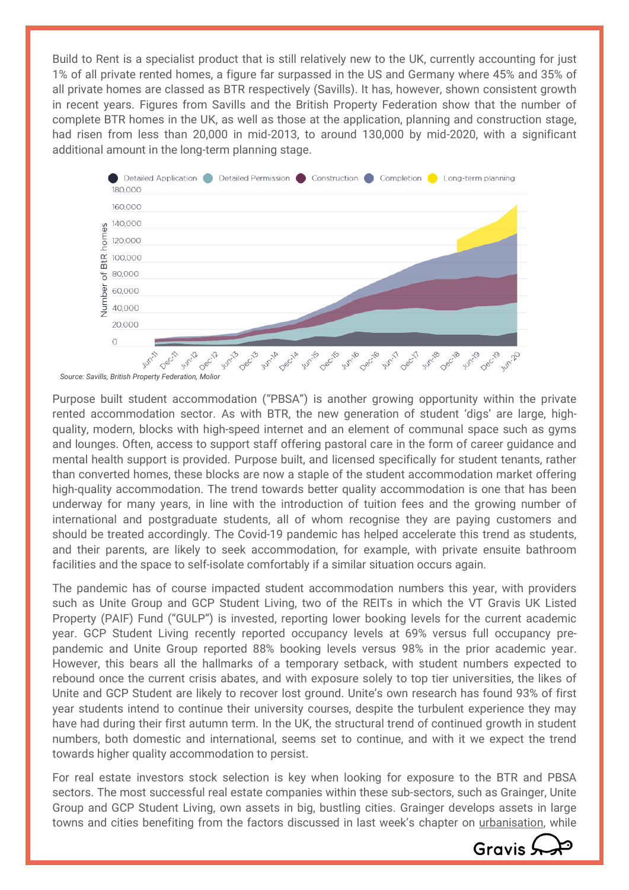Build to Rent is a specialist product that is still relatively new to the UK, currently accounting for just 1% of all private rented homes, a figure far surpassed in the US and Germany where 45% and 35% of all private homes are classed as BTR respectively (Savills). It has, however, shown consistent growth in recent years. Figures from Savills and the British Property Federation show that the number of complete BTR homes in the UK, as well as those at the application, planning and construction stage, had risen from less than 20,000 in mid-2013, to around 130,000 by mid-2020, with a significant additional amount in the long-term planning stage.



Purpose built student accommodation ("PBSA") is another growing opportunity within the private rented accommodation sector. As with BTR, the new generation of student 'digs' are large, highquality, modern, blocks with high-speed internet and an element of communal space such as gyms and lounges. Often, access to support staff offering pastoral care in the form of career guidance and mental health support is provided. Purpose built, and licensed specifically for student tenants, rather than converted homes, these blocks are now a staple of the student accommodation market offering high-quality accommodation. The trend towards better quality accommodation is one that has been underway for many years, in line with the introduction of tuition fees and the growing number of international and postgraduate students, all of whom recognise they are paying customers and should be treated accordingly. The Covid-19 pandemic has helped accelerate this trend as students, and their parents, are likely to seek accommodation, for example, with private ensuite bathroom facilities and the space to self-isolate comfortably if a similar situation occurs again.

The pandemic has of course impacted student accommodation numbers this year, with providers such as Unite Group and GCP Student Living, two of the REITs in which the VT Gravis UK Listed Property (PAIF) Fund ("GULP") is invested, reporting lower booking levels for the current academic year. GCP Student Living recently reported occupancy levels at 69% versus full occupancy prepandemic and Unite Group reported 88% booking levels versus 98% in the prior academic year. However, this bears all the hallmarks of a temporary setback, with student numbers expected to rebound once the current crisis abates, and with exposure solely to top tier universities, the likes of Unite and GCP Student are likely to recover lost ground. Unite's own research has found 93% of first year students intend to continue their university courses, despite the turbulent experience they may have had during their first autumn term. In the UK, the structural trend of continued growth in student numbers, both domestic and international, seems set to continue, and with it we expect the trend towards higher quality accommodation to persist.

For real estate investors stock selection is key when looking for exposure to the BTR and PBSA sectors. The most successful real estate companies within these sub-sectors, such as Grainger, Unite Group and GCP Student Living, own assets in big, bustling cities. Grainger develops assets in large towns and cities benefiting from the factors discussed in last week's chapter on *urbanisation*, while